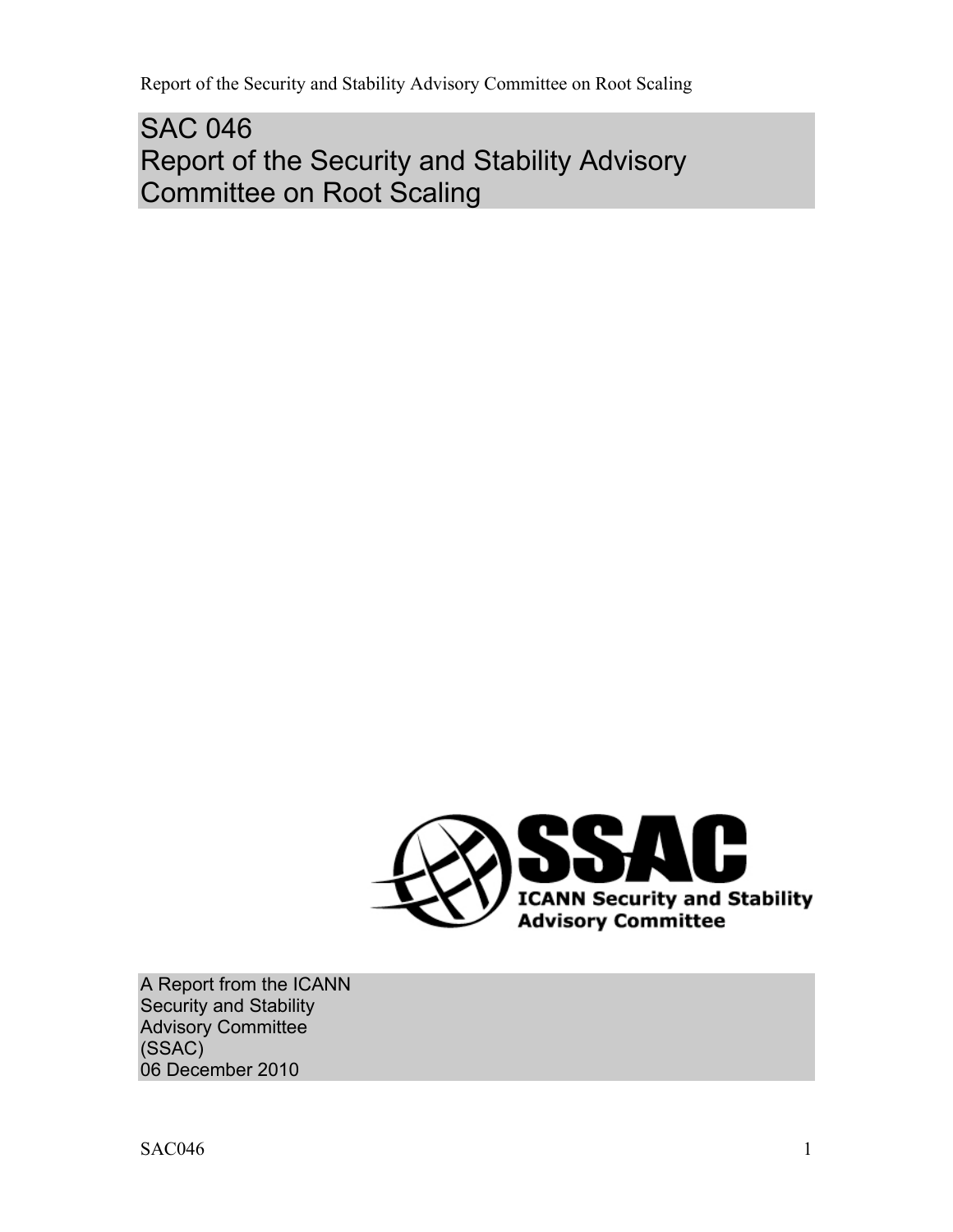SAC 046 Report of the Security and Stability Advisory Committee on Root Scaling



A Report from the ICANN Security and Stability Advisory Committee (SSAC) 06 December 2010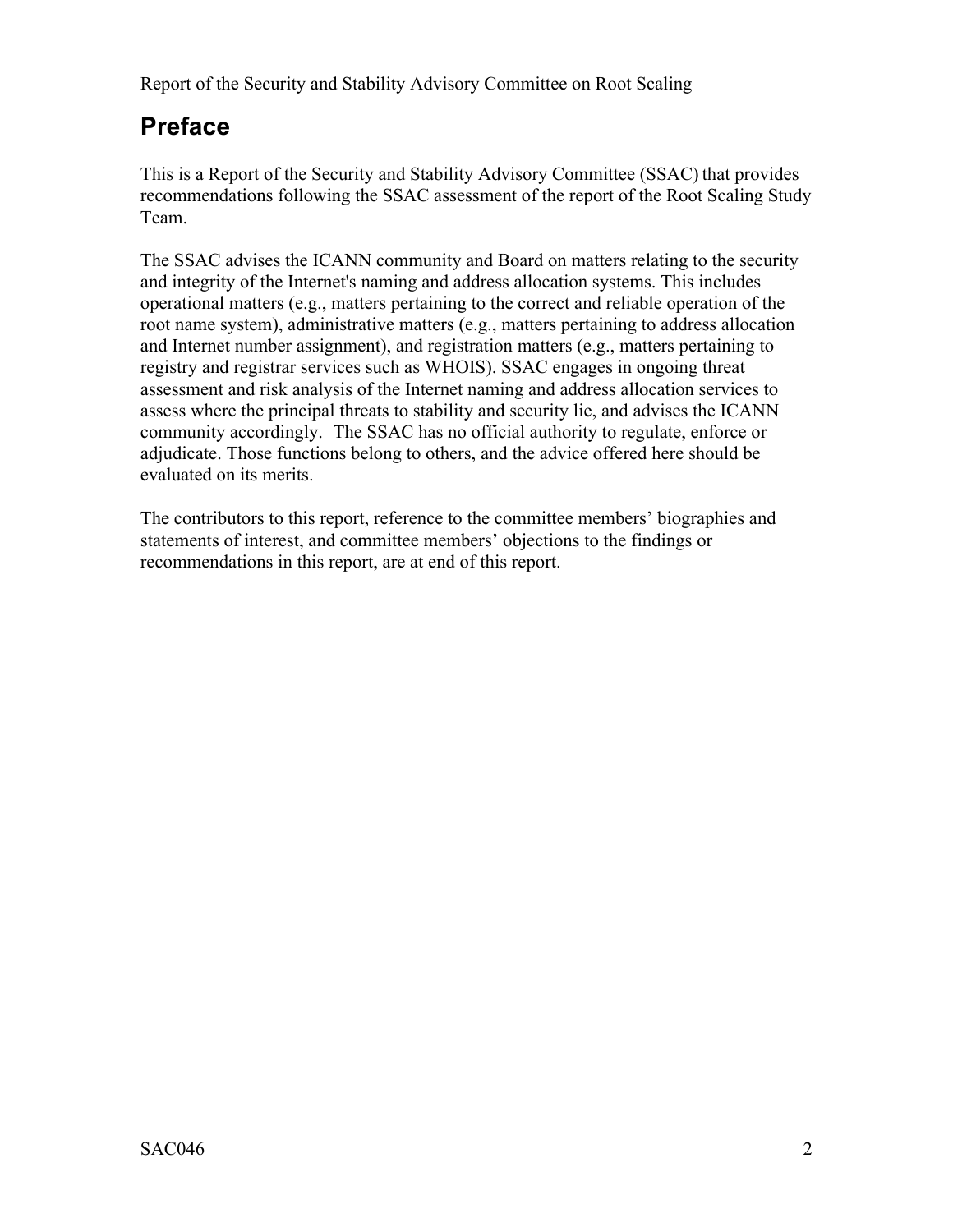# **Preface**

This is a Report of the Security and Stability Advisory Committee (SSAC) that provides recommendations following the SSAC assessment of the report of the Root Scaling Study Team.

The SSAC advises the ICANN community and Board on matters relating to the security and integrity of the Internet's naming and address allocation systems. This includes operational matters (e.g., matters pertaining to the correct and reliable operation of the root name system), administrative matters (e.g., matters pertaining to address allocation and Internet number assignment), and registration matters (e.g., matters pertaining to registry and registrar services such as WHOIS). SSAC engages in ongoing threat assessment and risk analysis of the Internet naming and address allocation services to assess where the principal threats to stability and security lie, and advises the ICANN community accordingly. The SSAC has no official authority to regulate, enforce or adjudicate. Those functions belong to others, and the advice offered here should be evaluated on its merits.

The contributors to this report, reference to the committee members' biographies and statements of interest, and committee members' objections to the findings or recommendations in this report, are at end of this report.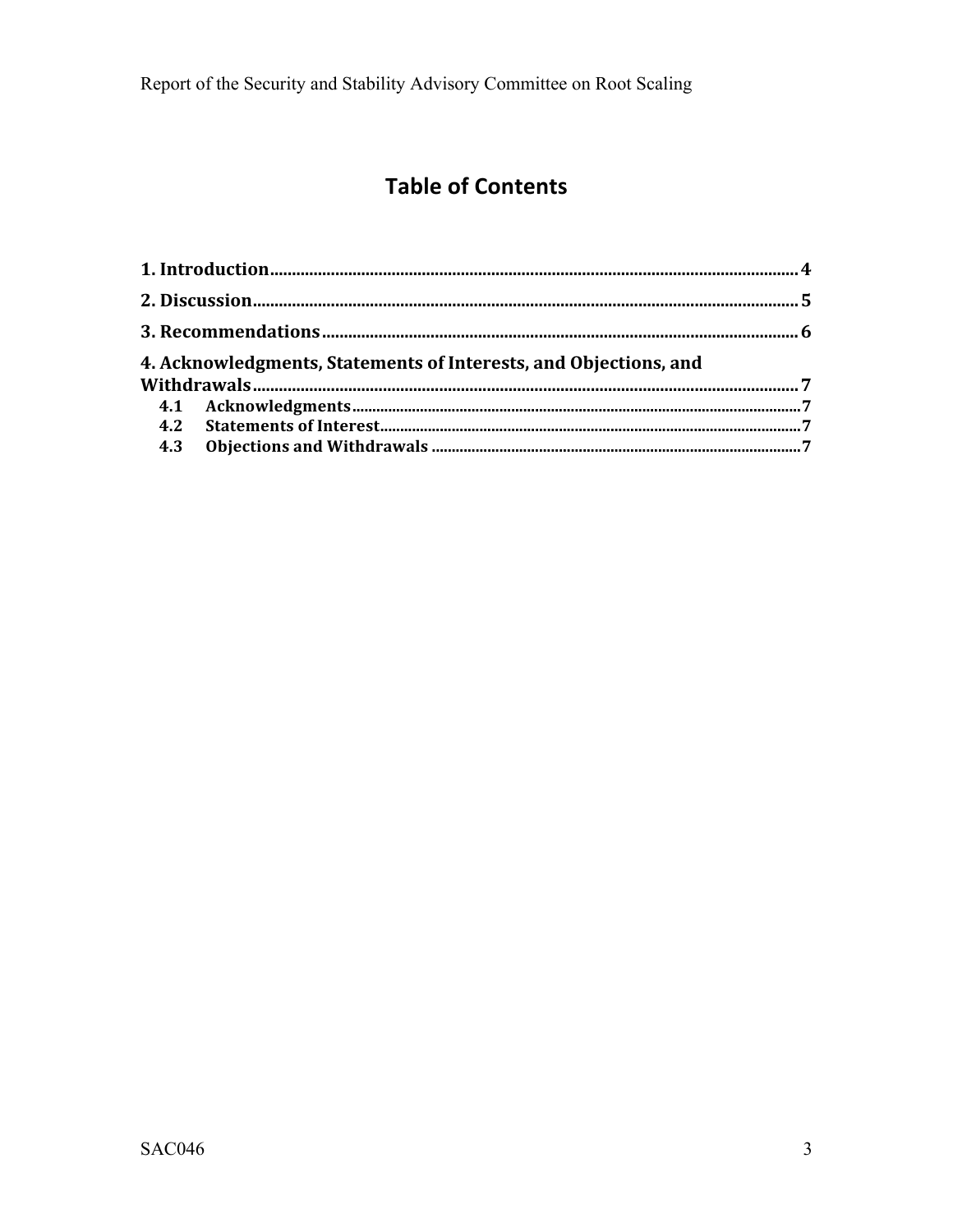# **Table of Contents**

| 4. Acknowledgments, Statements of Interests, and Objections, and |  |
|------------------------------------------------------------------|--|
|                                                                  |  |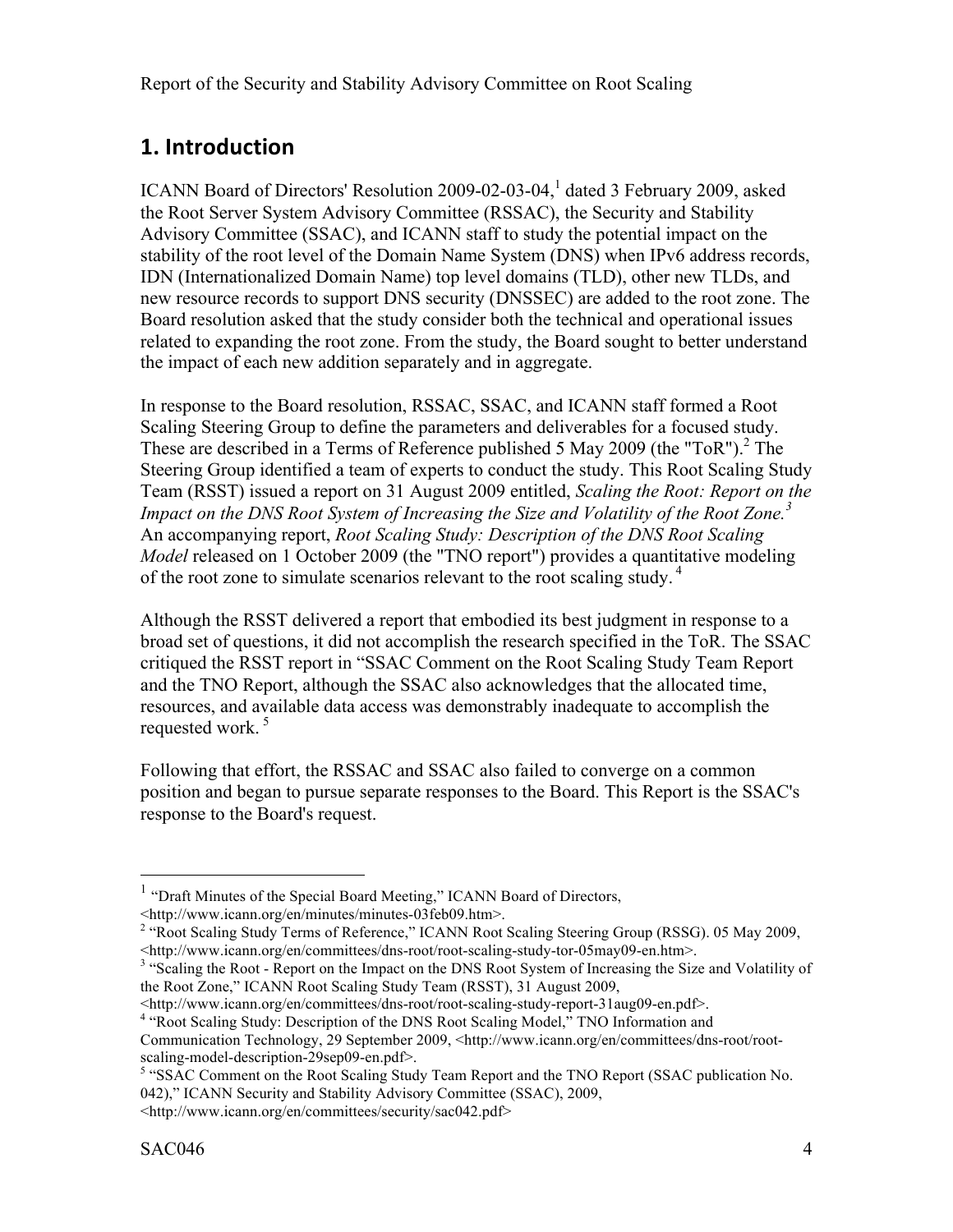## **1.
Introduction**

ICANN Board of Directors' Resolution 2009-02-03-04,<sup>1</sup> dated 3 February 2009, asked the Root Server System Advisory Committee (RSSAC), the Security and Stability Advisory Committee (SSAC), and ICANN staff to study the potential impact on the stability of the root level of the Domain Name System (DNS) when IPv6 address records, IDN (Internationalized Domain Name) top level domains (TLD), other new TLDs, and new resource records to support DNS security (DNSSEC) are added to the root zone. The Board resolution asked that the study consider both the technical and operational issues related to expanding the root zone. From the study, the Board sought to better understand the impact of each new addition separately and in aggregate.

In response to the Board resolution, RSSAC, SSAC, and ICANN staff formed a Root Scaling Steering Group to define the parameters and deliverables for a focused study. These are described in a Terms of Reference published 5 May 2009 (the "ToR").<sup>2</sup> The Steering Group identified a team of experts to conduct the study. This Root Scaling Study Team (RSST) issued a report on 31 August 2009 entitled, *Scaling the Root: Report on the Impact on the DNS Root System of Increasing the Size and Volatility of the Root Zone. 3* An accompanying report, *Root Scaling Study: Description of the DNS Root Scaling Model* released on 1 October 2009 (the "TNO report") provides a quantitative modeling of the root zone to simulate scenarios relevant to the root scaling study.<sup>4</sup>

Although the RSST delivered a report that embodied its best judgment in response to a broad set of questions, it did not accomplish the research specified in the ToR. The SSAC critiqued the RSST report in "SSAC Comment on the Root Scaling Study Team Report and the TNO Report, although the SSAC also acknowledges that the allocated time, resources, and available data access was demonstrably inadequate to accomplish the requested work.<sup>5</sup>

Following that effort, the RSSAC and SSAC also failed to converge on a common position and began to pursue separate responses to the Board. This Report is the SSAC's response to the Board's request.

 $1$  "Draft Minutes of the Special Board Meeting," ICANN Board of Directors, <http://www.icann.org/en/minutes/minutes-03feb09.htm>. <sup>2</sup>

<sup>&</sup>lt;sup>2</sup> "Root Scaling Study Terms of Reference," ICANN Root Scaling Steering Group (RSSG). 05 May 2009, <http://www.icann.org/en/committees/dns-root/root-scaling-study-tor-05may09-en.htm>. <sup>3</sup> "Scaling the Root - Report on the Impact on the DNS Root System of Increasing the Size and Volatility of

the Root Zone," ICANN Root Scaling Study Team (RSST), 31 August 2009,

<sup>&</sup>lt;http://www.icann.org/en/committees/dns-root/root-scaling-study-report-31aug09-en.pdf>. <sup>4</sup> "Root Scaling Study: Description of the DNS Root Scaling Model," TNO Information and

Communication Technology, 29 September 2009, <http://www.icann.org/en/committees/dns-root/root-

<sup>&</sup>lt;sup>5</sup> "SSAC Comment on the Root Scaling Study Team Report and the TNO Report (SSAC publication No. 042)," ICANN Security and Stability Advisory Committee (SSAC), 2009,

<sup>&</sup>lt;http://www.icann.org/en/committees/security/sac042.pdf>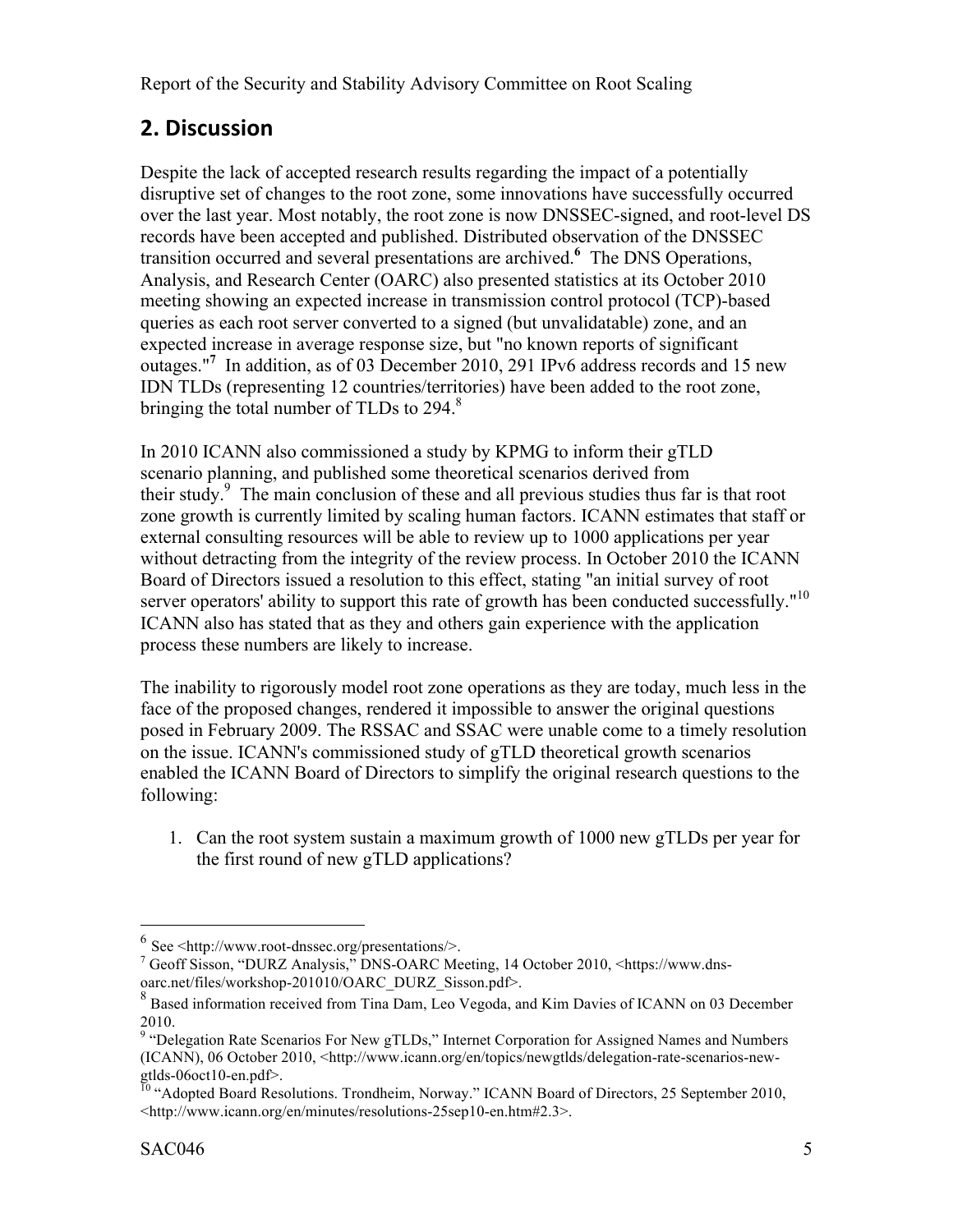# **2.
Discussion**

Despite the lack of accepted research results regarding the impact of a potentially disruptive set of changes to the root zone, some innovations have successfully occurred over the last year. Most notably, the root zone is now DNSSEC-signed, and root-level DS records have been accepted and published. Distributed observation of the DNSSEC transition occurred and several presentations are archived.**<sup>6</sup>** The DNS Operations, Analysis, and Research Center (OARC) also presented statistics at its October 2010 meeting showing an expected increase in transmission control protocol (TCP)-based queries as each root server converted to a signed (but unvalidatable) zone, and an expected increase in average response size, but "no known reports of significant outages."**<sup>7</sup>** In addition, as of 03 December 2010, 291 IPv6 address records and 15 new IDN TLDs (representing 12 countries/territories) have been added to the root zone, bringing the total number of TLDs to  $294$ .<sup>8</sup>

In 2010 ICANN also commissioned a study by KPMG to inform their gTLD scenario planning, and published some theoretical scenarios derived from their study. 9 The main conclusion of these and all previous studies thus far is that root zone growth is currently limited by scaling human factors. ICANN estimates that staff or external consulting resources will be able to review up to 1000 applications per year without detracting from the integrity of the review process. In October 2010 the ICANN Board of Directors issued a resolution to this effect, stating "an initial survey of root server operators' ability to support this rate of growth has been conducted successfully."<sup>10</sup> ICANN also has stated that as they and others gain experience with the application process these numbers are likely to increase.

The inability to rigorously model root zone operations as they are today, much less in the face of the proposed changes, rendered it impossible to answer the original questions posed in February 2009. The RSSAC and SSAC were unable come to a timely resolution on the issue. ICANN's commissioned study of gTLD theoretical growth scenarios enabled the ICANN Board of Directors to simplify the original research questions to the following:

1. Can the root system sustain a maximum growth of 1000 new gTLDs per year for the first round of new gTLD applications?

 $6$  See <http://www.root-dnssec.org/presentations/>.

<sup>&</sup>lt;sup>7</sup> Geoff Sisson, "DURZ Analysis," DNS-OARC Meeting, 14 October 2010, <https://www.dnsoarc.net/files/workshop-201010/OARC\_DURZ\_Sisson.pdf>.<br><sup>8</sup> Based information received from Tina Dam, Leo Vegoda, and Kim Davies of ICANN on 03 December

<sup>2010.&</sup>lt;br><sup>9</sup> "Delegation Rate Scenarios For New gTLDs," Internet Corporation for Assigned Names and Numbers (ICANN), 06 October 2010, <http://www.icann.org/en/topics/newgtlds/delegation-rate-scenarios-newgtlds-06oct10-en.pdf>.<br><sup>10</sup> "Adopted Board Resolutions. Trondheim, Norway." ICANN Board of Directors, 25 September 2010,

<sup>&</sup>lt;http://www.icann.org/en/minutes/resolutions-25sep10-en.htm#2.3>.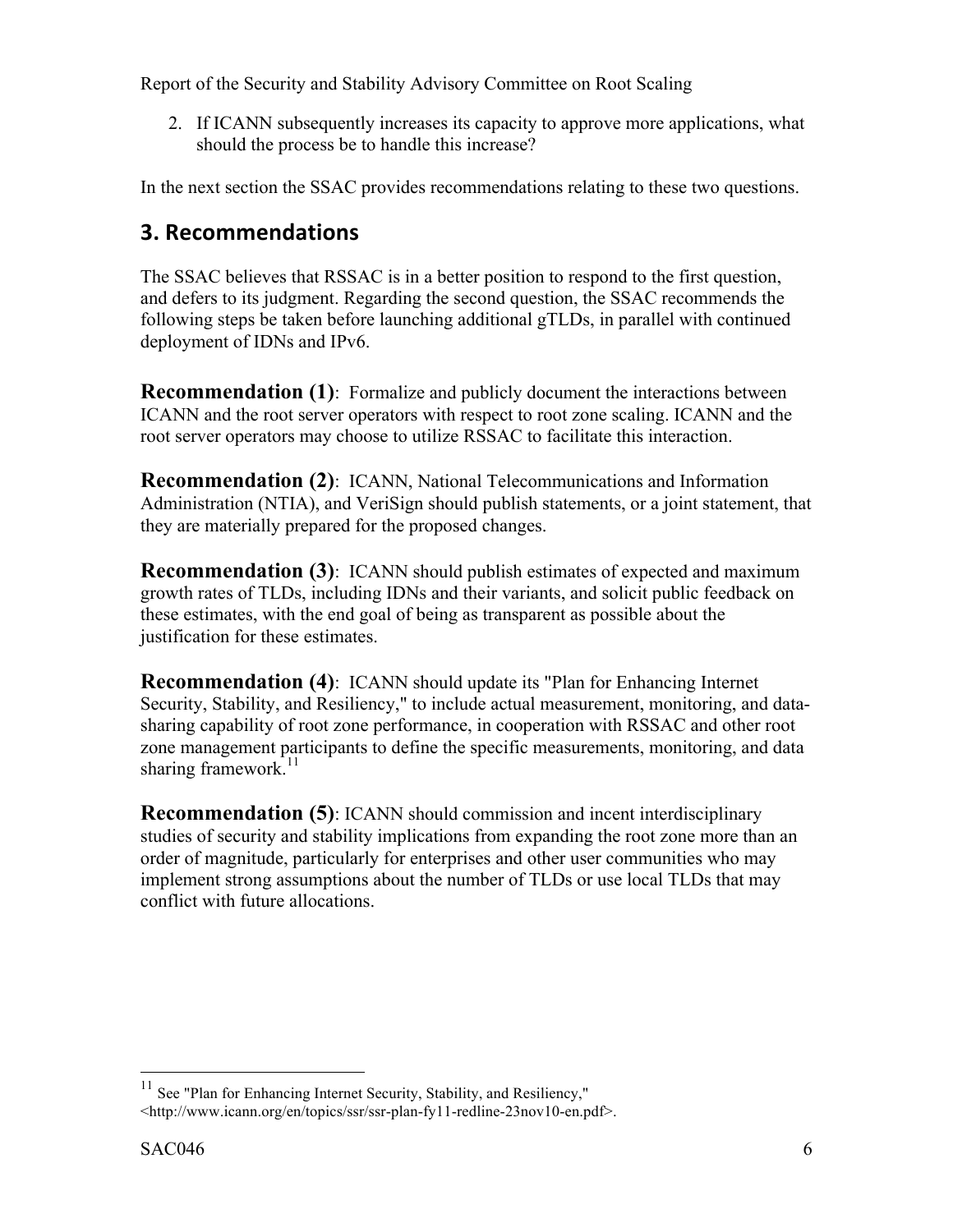2. If ICANN subsequently increases its capacity to approve more applications, what should the process be to handle this increase?

In the next section the SSAC provides recommendations relating to these two questions.

### **3.
Recommendations**

The SSAC believes that RSSAC is in a better position to respond to the first question, and defers to its judgment. Regarding the second question, the SSAC recommends the following steps be taken before launching additional gTLDs, in parallel with continued deployment of IDNs and IPv6.

**Recommendation (1)**: Formalize and publicly document the interactions between ICANN and the root server operators with respect to root zone scaling. ICANN and the root server operators may choose to utilize RSSAC to facilitate this interaction.

**Recommendation (2)**: ICANN, National Telecommunications and Information Administration (NTIA), and VeriSign should publish statements, or a joint statement, that they are materially prepared for the proposed changes.

**Recommendation (3)**: ICANN should publish estimates of expected and maximum growth rates of TLDs, including IDNs and their variants, and solicit public feedback on these estimates, with the end goal of being as transparent as possible about the justification for these estimates.

**Recommendation (4)**: ICANN should update its "Plan for Enhancing Internet Security, Stability, and Resiliency," to include actual measurement, monitoring, and datasharing capability of root zone performance, in cooperation with RSSAC and other root zone management participants to define the specific measurements, monitoring, and data sharing framework. $^{11}$ 

**Recommendation (5)**: ICANN should commission and incent interdisciplinary studies of security and stability implications from expanding the root zone more than an order of magnitude, particularly for enterprises and other user communities who may implement strong assumptions about the number of TLDs or use local TLDs that may conflict with future allocations.

<sup>&</sup>lt;sup>11</sup> See "Plan for Enhancing Internet Security, Stability, and Resiliency," <http://www.icann.org/en/topics/ssr/ssr-plan-fy11-redline-23nov10-en.pdf>.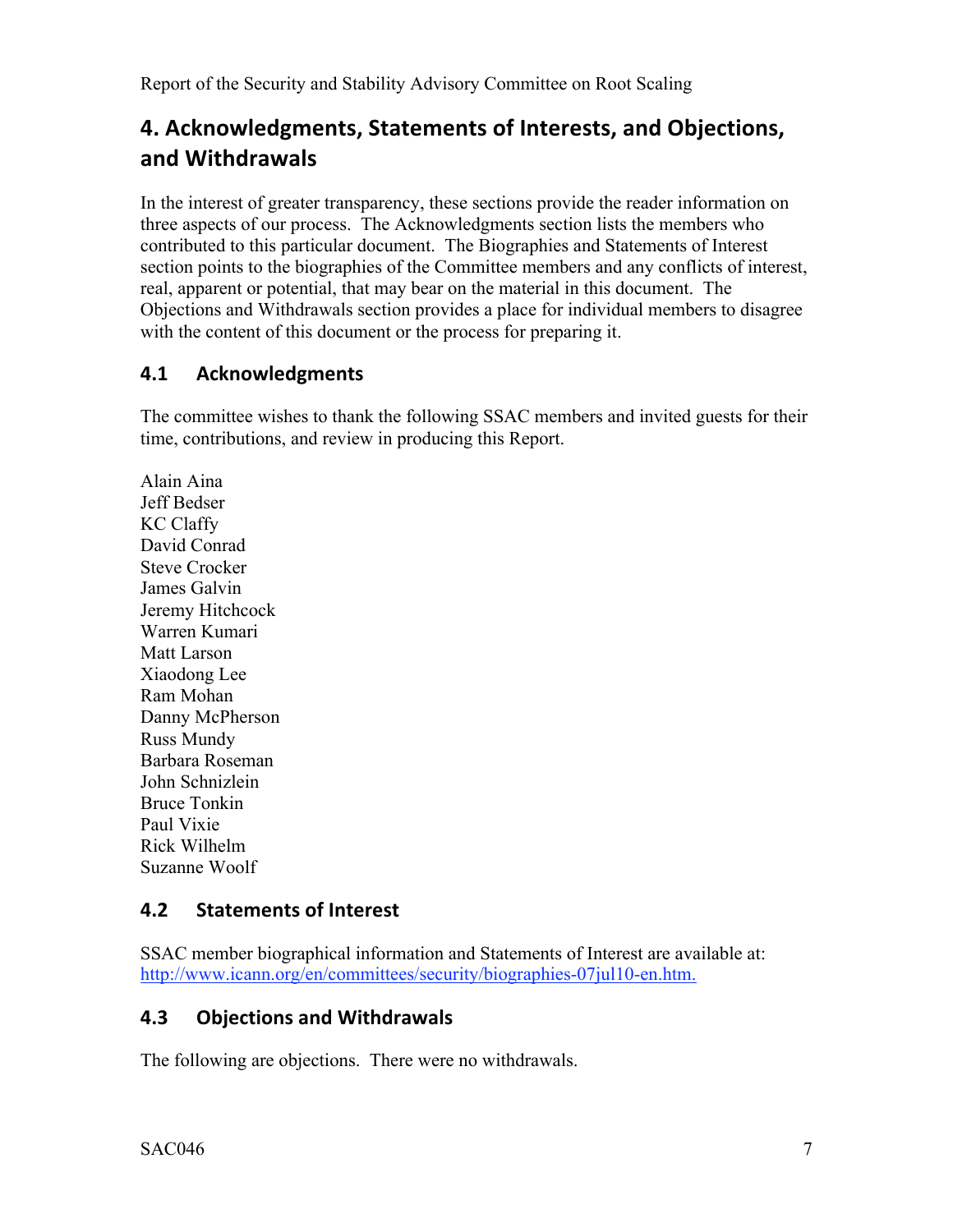# **4.
Acknowledgments,
Statements
of
Interests,
and
Objections, and
Withdrawals**

In the interest of greater transparency, these sections provide the reader information on three aspects of our process. The Acknowledgments section lists the members who contributed to this particular document. The Biographies and Statements of Interest section points to the biographies of the Committee members and any conflicts of interest, real, apparent or potential, that may bear on the material in this document. The Objections and Withdrawals section provides a place for individual members to disagree with the content of this document or the process for preparing it.

### **4.1 Acknowledgments**

The committee wishes to thank the following SSAC members and invited guests for their time, contributions, and review in producing this Report.

Alain Aina Jeff Bedser KC Claffy David Conrad Steve Crocker James Galvin Jeremy Hitchcock Warren Kumari Matt Larson Xiaodong Lee Ram Mohan Danny McPherson Russ Mundy Barbara Roseman John Schnizlein Bruce Tonkin Paul Vixie Rick Wilhelm Suzanne Woolf

### **4.2 Statements
of
Interest**

SSAC member biographical information and Statements of Interest are available at: http://www.icann.org/en/committees/security/biographies-07jul10-en.htm.

### **4.3 Objections
and
Withdrawals**

The following are objections. There were no withdrawals.